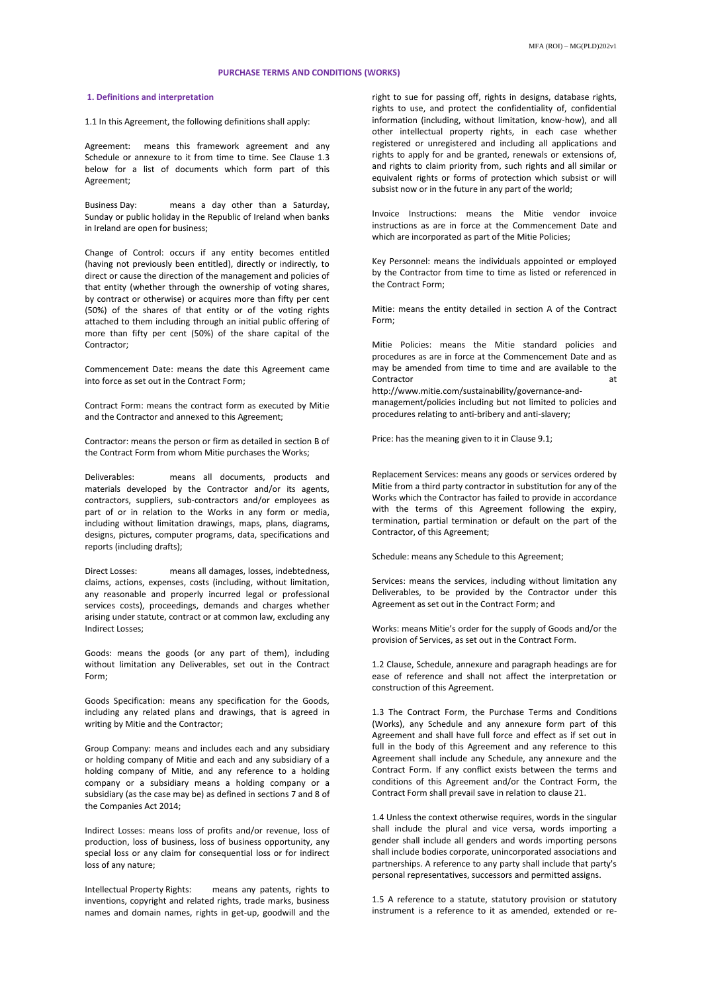# **PURCHASE TERMS AND CONDITIONS (WORKS)**

# **1. Definitions and interpretation**

1.1 In this Agreement, the following definitions shall apply:

Agreement: means this framework agreement and any Schedule or annexure to it from time to time. See Clause 1.3 below for a list of documents which form part of this Agreement;

Business Day: means a day other than a Saturday, Sunday or public holiday in the Republic of Ireland when banks in Ireland are open for business;

Change of Control: occurs if any entity becomes entitled (having not previously been entitled), directly or indirectly, to direct or cause the direction of the management and policies of that entity (whether through the ownership of voting shares, by contract or otherwise) or acquires more than fifty per cent (50%) of the shares of that entity or of the voting rights attached to them including through an initial public offering of more than fifty per cent (50%) of the share capital of the Contractor;

Commencement Date: means the date this Agreement came into force as set out in the Contract Form;

Contract Form: means the contract form as executed by Mitie and the Contractor and annexed to this Agreement;

Contractor: means the person or firm as detailed in section B of the Contract Form from whom Mitie purchases the Works;

Deliverables: means all documents, products and materials developed by the Contractor and/or its agents, contractors, suppliers, sub-contractors and/or employees as part of or in relation to the Works in any form or media, including without limitation drawings, maps, plans, diagrams, designs, pictures, computer programs, data, specifications and reports (including drafts);

Direct Losses: means all damages, losses, indebtedness, claims, actions, expenses, costs (including, without limitation, any reasonable and properly incurred legal or professional services costs), proceedings, demands and charges whether arising under statute, contract or at common law, excluding any Indirect Losses;

Goods: means the goods (or any part of them), including without limitation any Deliverables, set out in the Contract Form;

Goods Specification: means any specification for the Goods, including any related plans and drawings, that is agreed in writing by Mitie and the Contractor;

Group Company: means and includes each and any subsidiary or holding company of Mitie and each and any subsidiary of a holding company of Mitie, and any reference to a holding company or a subsidiary means a holding company or a subsidiary (as the case may be) as defined in sections 7 and 8 of the Companies Act 2014;

Indirect Losses: means loss of profits and/or revenue, loss of production, loss of business, loss of business opportunity, any special loss or any claim for consequential loss or for indirect loss of any nature;

Intellectual Property Rights: means any patents, rights to inventions, copyright and related rights, trade marks, business names and domain names, rights in get-up, goodwill and the right to sue for passing off, rights in designs, database rights, rights to use, and protect the confidentiality of, confidential information (including, without limitation, know-how), and all other intellectual property rights, in each case whether registered or unregistered and including all applications and rights to apply for and be granted, renewals or extensions of, and rights to claim priority from, such rights and all similar or equivalent rights or forms of protection which subsist or will subsist now or in the future in any part of the world;

Invoice Instructions: means the Mitie vendor invoice instructions as are in force at the Commencement Date and which are incorporated as part of the Mitie Policies;

Key Personnel: means the individuals appointed or employed by the Contractor from time to time as listed or referenced in the Contract Form;

Mitie: means the entity detailed in section A of the Contract Form;

Mitie Policies: means the Mitie standard policies and procedures as are in force at the Commencement Date and as may be amended from time to time and are available to the Contractor at the contractor of the contractor of the contractor of the contractor of the contractor of the contractor of the contractor of the contractor of the contractor of the contractor of the contractor of the contra http://www.mitie.com/sustainability/governance-andmanagement/policies including but not limited to policies and procedures relating to anti-bribery and anti-slavery;

Price: has the meaning given to it in Clause 9.1;

Replacement Services: means any goods or services ordered by Mitie from a third party contractor in substitution for any of the Works which the Contractor has failed to provide in accordance with the terms of this Agreement following the expiry, termination, partial termination or default on the part of the Contractor, of this Agreement;

Schedule: means any Schedule to this Agreement;

Services: means the services, including without limitation any Deliverables, to be provided by the Contractor under this Agreement as set out in the Contract Form; and

Works: means Mitie's order for the supply of Goods and/or the provision of Services, as set out in the Contract Form.

1.2 Clause, Schedule, annexure and paragraph headings are for ease of reference and shall not affect the interpretation or construction of this Agreement.

1.3 The Contract Form, the Purchase Terms and Conditions (Works), any Schedule and any annexure form part of this Agreement and shall have full force and effect as if set out in full in the body of this Agreement and any reference to this Agreement shall include any Schedule, any annexure and the Contract Form. If any conflict exists between the terms and conditions of this Agreement and/or the Contract Form, the Contract Form shall prevail save in relation to clause 21.

1.4 Unless the context otherwise requires, words in the singular shall include the plural and vice versa, words importing a gender shall include all genders and words importing persons shall include bodies corporate, unincorporated associations and partnerships. A reference to any party shall include that party's personal representatives, successors and permitted assigns.

1.5 A reference to a statute, statutory provision or statutory instrument is a reference to it as amended, extended or re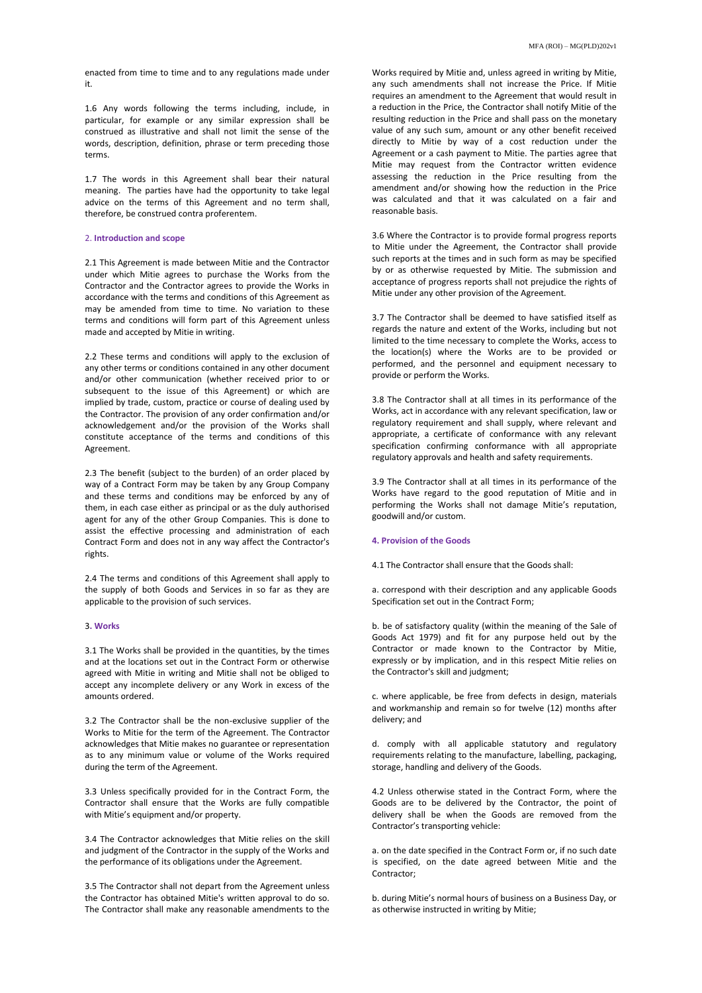1.6 Any words following the terms including, include, in particular, for example or any similar expression shall be construed as illustrative and shall not limit the sense of the words, description, definition, phrase or term preceding those terms.

1.7 The words in this Agreement shall bear their natural meaning. The parties have had the opportunity to take legal advice on the terms of this Agreement and no term shall, therefore, be construed contra proferentem.

# 2. **Introduction and scope**

2.1 This Agreement is made between Mitie and the Contractor under which Mitie agrees to purchase the Works from the Contractor and the Contractor agrees to provide the Works in accordance with the terms and conditions of this Agreement as may be amended from time to time. No variation to these terms and conditions will form part of this Agreement unless made and accepted by Mitie in writing.

2.2 These terms and conditions will apply to the exclusion of any other terms or conditions contained in any other document and/or other communication (whether received prior to or subsequent to the issue of this Agreement) or which are implied by trade, custom, practice or course of dealing used by the Contractor. The provision of any order confirmation and/or acknowledgement and/or the provision of the Works shall constitute acceptance of the terms and conditions of this Agreement.

2.3 The benefit (subject to the burden) of an order placed by way of a Contract Form may be taken by any Group Company and these terms and conditions may be enforced by any of them, in each case either as principal or as the duly authorised agent for any of the other Group Companies. This is done to assist the effective processing and administration of each Contract Form and does not in any way affect the Contractor's rights.

2.4 The terms and conditions of this Agreement shall apply to the supply of both Goods and Services in so far as they are applicable to the provision of such services.

### 3**. Works**

3.1 The Works shall be provided in the quantities, by the times and at the locations set out in the Contract Form or otherwise agreed with Mitie in writing and Mitie shall not be obliged to accept any incomplete delivery or any Work in excess of the amounts ordered.

3.2 The Contractor shall be the non-exclusive supplier of the Works to Mitie for the term of the Agreement. The Contractor acknowledges that Mitie makes no guarantee or representation as to any minimum value or volume of the Works required during the term of the Agreement.

3.3 Unless specifically provided for in the Contract Form, the Contractor shall ensure that the Works are fully compatible with Mitie's equipment and/or property.

3.4 The Contractor acknowledges that Mitie relies on the skill and judgment of the Contractor in the supply of the Works and the performance of its obligations under the Agreement.

3.5 The Contractor shall not depart from the Agreement unless the Contractor has obtained Mitie's written approval to do so. The Contractor shall make any reasonable amendments to the Works required by Mitie and, unless agreed in writing by Mitie, any such amendments shall not increase the Price. If Mitie requires an amendment to the Agreement that would result in a reduction in the Price, the Contractor shall notify Mitie of the resulting reduction in the Price and shall pass on the monetary value of any such sum, amount or any other benefit received directly to Mitie by way of a cost reduction under the Agreement or a cash payment to Mitie. The parties agree that Mitie may request from the Contractor written evidence assessing the reduction in the Price resulting from the amendment and/or showing how the reduction in the Price was calculated and that it was calculated on a fair and reasonable basis.

3.6 Where the Contractor is to provide formal progress reports to Mitie under the Agreement, the Contractor shall provide such reports at the times and in such form as may be specified by or as otherwise requested by Mitie. The submission and acceptance of progress reports shall not prejudice the rights of Mitie under any other provision of the Agreement.

3.7 The Contractor shall be deemed to have satisfied itself as regards the nature and extent of the Works, including but not limited to the time necessary to complete the Works, access to the location(s) where the Works are to be provided or performed, and the personnel and equipment necessary to provide or perform the Works.

3.8 The Contractor shall at all times in its performance of the Works, act in accordance with any relevant specification, law or regulatory requirement and shall supply, where relevant and appropriate, a certificate of conformance with any relevant specification confirming conformance with all appropriate regulatory approvals and health and safety requirements.

3.9 The Contractor shall at all times in its performance of the Works have regard to the good reputation of Mitie and in performing the Works shall not damage Mitie's reputation, goodwill and/or custom.

# **4. Provision of the Goods**

4.1 The Contractor shall ensure that the Goods shall:

a. correspond with their description and any applicable Goods Specification set out in the Contract Form;

b. be of satisfactory quality (within the meaning of the Sale of Goods Act 1979) and fit for any purpose held out by the Contractor or made known to the Contractor by Mitie, expressly or by implication, and in this respect Mitie relies on the Contractor's skill and judgment;

c. where applicable, be free from defects in design, materials and workmanship and remain so for twelve (12) months after delivery; and

d. comply with all applicable statutory and regulatory requirements relating to the manufacture, labelling, packaging, storage, handling and delivery of the Goods.

4.2 Unless otherwise stated in the Contract Form, where the Goods are to be delivered by the Contractor, the point of delivery shall be when the Goods are removed from the Contractor's transporting vehicle:

a. on the date specified in the Contract Form or, if no such date is specified, on the date agreed between Mitie and the Contractor;

b. during Mitie's normal hours of business on a Business Day, or as otherwise instructed in writing by Mitie;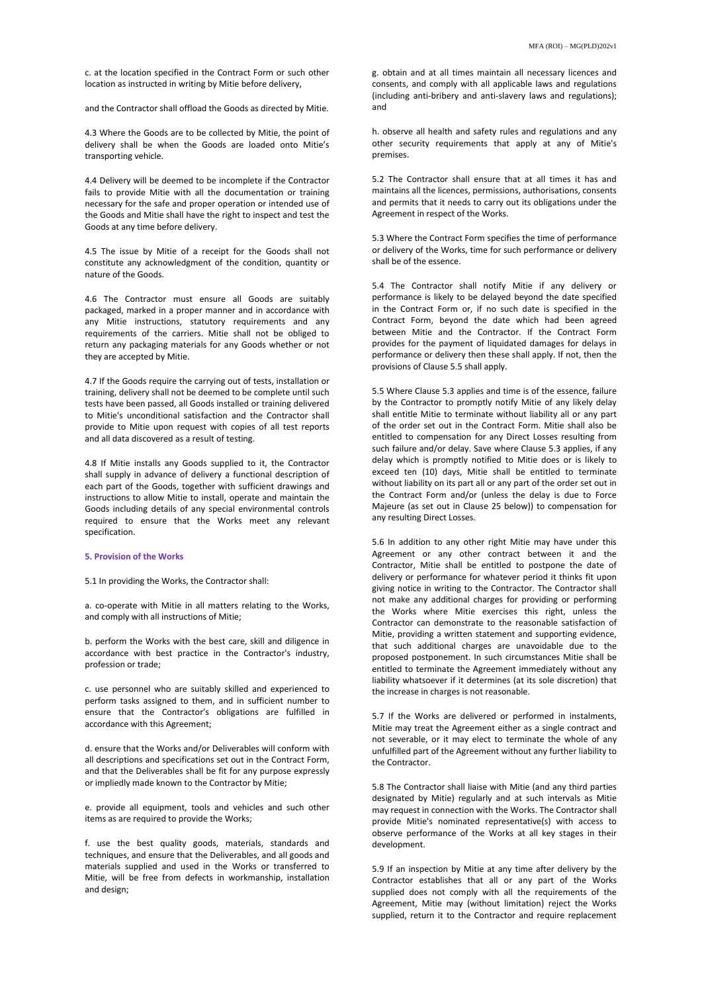c. at the location specified in the Contract Form or such other location as instructed in writing by Mitie before delivery,

and the Contractor shall offload the Goods as directed by Mitie.

4.3 Where the Goods are to be collected by Mitie, the point of delivery shall be when the Goods are loaded onto Mitie's transporting vehicle.

4.4 Delivery will be deemed to be incomplete if the Contractor fails to provide Mitie with all the documentation or training necessary for the safe and proper operation or intended use of the Goods and Mitie shall have the right to inspect and test the Goods at any time before delivery.

4.5 The issue by Mitie of a receipt for the Goods shall not constitute any acknowledgment of the condition, quantity or nature of the Goods.

4.6 The Contractor must ensure all Goods are suitably packaged, marked in a proper manner and in accordance with any Mitie instructions, statutory requirements and any requirements of the carriers. Mitie shall not be obliged to return any packaging materials for any Goods whether or not they are accepted by Mitie.

4.7 If the Goods require the carrying out of tests, installation or training, delivery shall not be deemed to be complete until such tests have been passed, all Goods installed or training delivered to Mitie's unconditional satisfaction and the Contractor shall provide to Mitie upon request with copies of all test reports and all data discovered as a result of testing.

4.8 If Mitie installs any Goods supplied to it, the Contractor shall supply in advance of delivery a functional description of each part of the Goods, together with sufficient drawings and instructions to allow Mitie to install, operate and maintain the Goods including details of any special environmental controls required to ensure that the Works meet any relevant specification.

# **5. Provision of the Works**

5.1 In providing the Works, the Contractor shall:

a. co-operate with Mitie in all matters relating to the Works, and comply with all instructions of Mitie;

b. perform the Works with the best care, skill and diligence in accordance with best practice in the Contractor's industry, profession or trade;

c. use personnel who are suitably skilled and experienced to perform tasks assigned to them, and in sufficient number to ensure that the Contractor's obligations are fulfilled in accordance with this Agreement;

d. ensure that the Works and/or Deliverables will conform with all descriptions and specifications set out in the Contract Form, and that the Deliverables shall be fit for any purpose expressly or impliedly made known to the Contractor by Mitie;

e. provide all equipment, tools and vehicles and such other items as are required to provide the Works;

f. use the best quality goods, materials, standards and techniques, and ensure that the Deliverables, and all goods and materials supplied and used in the Works or transferred to Mitie, will be free from defects in workmanship, installation and design;

g. obtain and at all times maintain all necessary licences and consents, and comply with all applicable laws and regulations (including anti-bribery and anti-slavery laws and regulations); and

h. observe all health and safety rules and regulations and any other security requirements that apply at any of Mitie's premises.

5.2 The Contractor shall ensure that at all times it has and maintains all the licences, permissions, authorisations, consents and permits that it needs to carry out its obligations under the Agreement in respect of the Works.

5.3 Where the Contract Form specifies the time of performance or delivery of the Works, time for such performance or delivery shall be of the essence.

5.4 The Contractor shall notify Mitie if any delivery or performance is likely to be delayed beyond the date specified in the Contract Form or, if no such date is specified in the Contract Form, beyond the date which had been agreed between Mitie and the Contractor. If the Contract Form provides for the payment of liquidated damages for delays in performance or delivery then these shall apply. If not, then the provisions of Clause 5.5 shall apply.

5.5 Where Clause 5.3 applies and time is of the essence, failure by the Contractor to promptly notify Mitie of any likely delay shall entitle Mitie to terminate without liability all or any part of the order set out in the Contract Form. Mitie shall also be entitled to compensation for any Direct Losses resulting from such failure and/or delay. Save where Clause 5.3 applies, if any delay which is promptly notified to Mitie does or is likely to exceed ten (10) days, Mitie shall be entitled to terminate without liability on its part all or any part of the order set out in the Contract Form and/or (unless the delay is due to Force Majeure (as set out in Clause 25 below)) to compensation for any resulting Direct Losses.

5.6 In addition to any other right Mitie may have under this Agreement or any other contract between it and the Contractor, Mitie shall be entitled to postpone the date of delivery or performance for whatever period it thinks fit upon giving notice in writing to the Contractor. The Contractor shall not make any additional charges for providing or performing the Works where Mitie exercises this right, unless the Contractor can demonstrate to the reasonable satisfaction of Mitie, providing a written statement and supporting evidence, that such additional charges are unavoidable due to the proposed postponement. In such circumstances Mitie shall be entitled to terminate the Agreement immediately without any liability whatsoever if it determines (at its sole discretion) that the increase in charges is not reasonable.

5.7 If the Works are delivered or performed in instalments, Mitie may treat the Agreement either as a single contract and not severable, or it may elect to terminate the whole of any unfulfilled part of the Agreement without any further liability to the Contractor.

5.8 The Contractor shall liaise with Mitie (and any third parties designated by Mitie) regularly and at such intervals as Mitie may request in connection with the Works. The Contractor shall provide Mitie's nominated representative(s) with access to observe performance of the Works at all key stages in their development.

5.9 If an inspection by Mitie at any time after delivery by the Contractor establishes that all or any part of the Works supplied does not comply with all the requirements of the Agreement, Mitie may (without limitation) reject the Works supplied, return it to the Contractor and require replacement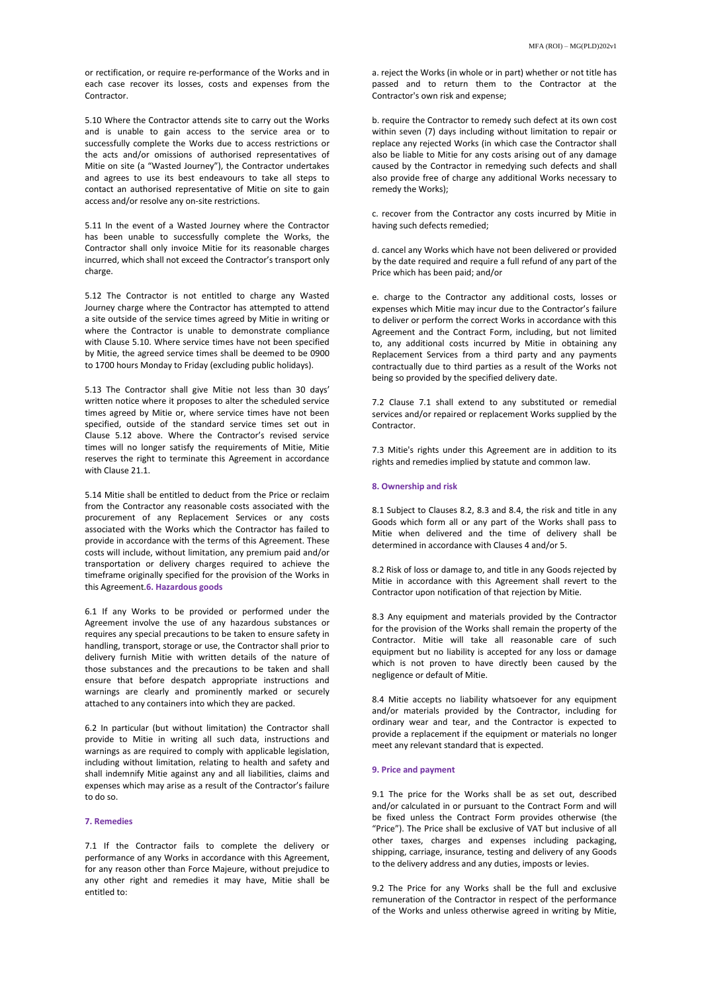or rectification, or require re-performance of the Works and in each case recover its losses, costs and expenses from the Contractor.

5.10 Where the Contractor attends site to carry out the Works and is unable to gain access to the service area or to successfully complete the Works due to access restrictions or the acts and/or omissions of authorised representatives of Mitie on site (a "Wasted Journey"), the Contractor undertakes and agrees to use its best endeavours to take all steps to contact an authorised representative of Mitie on site to gain access and/or resolve any on-site restrictions.

5.11 In the event of a Wasted Journey where the Contractor has been unable to successfully complete the Works, the Contractor shall only invoice Mitie for its reasonable charges incurred, which shall not exceed the Contractor's transport only charge.

5.12 The Contractor is not entitled to charge any Wasted Journey charge where the Contractor has attempted to attend a site outside of the service times agreed by Mitie in writing or where the Contractor is unable to demonstrate compliance with Clause 5.10. Where service times have not been specified by Mitie, the agreed service times shall be deemed to be 0900 to 1700 hours Monday to Friday (excluding public holidays).

5.13 The Contractor shall give Mitie not less than 30 days' written notice where it proposes to alter the scheduled service times agreed by Mitie or, where service times have not been specified, outside of the standard service times set out in Clause 5.12 above. Where the Contractor's revised service times will no longer satisfy the requirements of Mitie, Mitie reserves the right to terminate this Agreement in accordance with Clause 21.1.

5.14 Mitie shall be entitled to deduct from the Price or reclaim from the Contractor any reasonable costs associated with the procurement of any Replacement Services or any costs associated with the Works which the Contractor has failed to provide in accordance with the terms of this Agreement. These costs will include, without limitation, any premium paid and/or transportation or delivery charges required to achieve the timeframe originally specified for the provision of the Works in this Agreement.**6. Hazardous goods**

6.1 If any Works to be provided or performed under the Agreement involve the use of any hazardous substances or requires any special precautions to be taken to ensure safety in handling, transport, storage or use, the Contractor shall prior to delivery furnish Mitie with written details of the nature of those substances and the precautions to be taken and shall ensure that before despatch appropriate instructions and warnings are clearly and prominently marked or securely attached to any containers into which they are packed.

6.2 In particular (but without limitation) the Contractor shall provide to Mitie in writing all such data, instructions and warnings as are required to comply with applicable legislation, including without limitation, relating to health and safety and shall indemnify Mitie against any and all liabilities, claims and expenses which may arise as a result of the Contractor's failure to do so.

# **7. Remedies**

7.1 If the Contractor fails to complete the delivery or performance of any Works in accordance with this Agreement, for any reason other than Force Majeure, without prejudice to any other right and remedies it may have, Mitie shall be entitled to:

a. reject the Works (in whole or in part) whether or not title has passed and to return them to the Contractor at the Contractor's own risk and expense;

b. require the Contractor to remedy such defect at its own cost within seven (7) days including without limitation to repair or replace any rejected Works (in which case the Contractor shall also be liable to Mitie for any costs arising out of any damage caused by the Contractor in remedying such defects and shall also provide free of charge any additional Works necessary to remedy the Works);

c. recover from the Contractor any costs incurred by Mitie in having such defects remedied;

d. cancel any Works which have not been delivered or provided by the date required and require a full refund of any part of the Price which has been paid; and/or

e. charge to the Contractor any additional costs, losses or expenses which Mitie may incur due to the Contractor's failure to deliver or perform the correct Works in accordance with this Agreement and the Contract Form, including, but not limited to, any additional costs incurred by Mitie in obtaining any Replacement Services from a third party and any payments contractually due to third parties as a result of the Works not being so provided by the specified delivery date.

7.2 Clause 7.1 shall extend to any substituted or remedial services and/or repaired or replacement Works supplied by the Contractor.

7.3 Mitie's rights under this Agreement are in addition to its rights and remedies implied by statute and common law.

## **8. Ownership and risk**

8.1 Subject to Clauses 8.2, 8.3 and 8.4, the risk and title in any Goods which form all or any part of the Works shall pass to Mitie when delivered and the time of delivery shall be determined in accordance with Clauses 4 and/or 5.

8.2 Risk of loss or damage to, and title in any Goods rejected by Mitie in accordance with this Agreement shall revert to the Contractor upon notification of that rejection by Mitie.

8.3 Any equipment and materials provided by the Contractor for the provision of the Works shall remain the property of the Contractor. Mitie will take all reasonable care of such equipment but no liability is accepted for any loss or damage which is not proven to have directly been caused by the negligence or default of Mitie.

8.4 Mitie accepts no liability whatsoever for any equipment and/or materials provided by the Contractor, including for ordinary wear and tear, and the Contractor is expected to provide a replacement if the equipment or materials no longer meet any relevant standard that is expected.

#### **9. Price and payment**

9.1 The price for the Works shall be as set out, described and/or calculated in or pursuant to the Contract Form and will be fixed unless the Contract Form provides otherwise (the "Price"). The Price shall be exclusive of VAT but inclusive of all other taxes, charges and expenses including packaging, shipping, carriage, insurance, testing and delivery of any Goods to the delivery address and any duties, imposts or levies.

9.2 The Price for any Works shall be the full and exclusive remuneration of the Contractor in respect of the performance of the Works and unless otherwise agreed in writing by Mitie,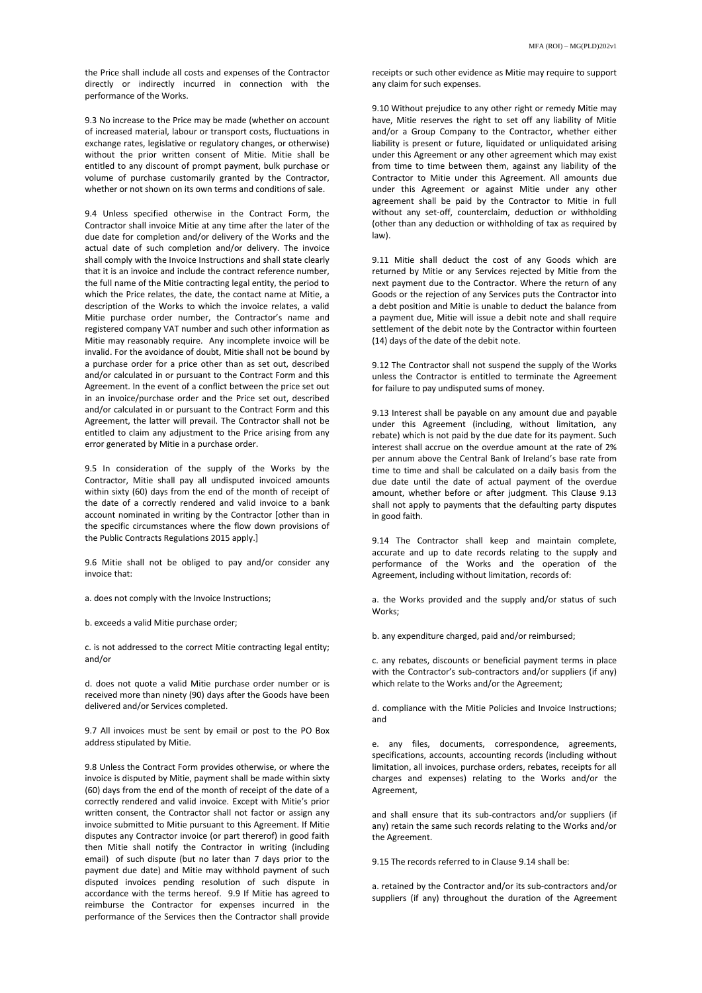the Price shall include all costs and expenses of the Contractor directly or indirectly incurred in connection with the performance of the Works.

9.3 No increase to the Price may be made (whether on account of increased material, labour or transport costs, fluctuations in exchange rates, legislative or regulatory changes, or otherwise) without the prior written consent of Mitie. Mitie shall be entitled to any discount of prompt payment, bulk purchase or volume of purchase customarily granted by the Contractor, whether or not shown on its own terms and conditions of sale.

9.4 Unless specified otherwise in the Contract Form, the Contractor shall invoice Mitie at any time after the later of the due date for completion and/or delivery of the Works and the actual date of such completion and/or delivery. The invoice shall comply with the Invoice Instructions and shall state clearly that it is an invoice and include the contract reference number, the full name of the Mitie contracting legal entity, the period to which the Price relates, the date, the contact name at Mitie, a description of the Works to which the invoice relates, a valid Mitie purchase order number, the Contractor's name and registered company VAT number and such other information as Mitie may reasonably require. Any incomplete invoice will be invalid. For the avoidance of doubt, Mitie shall not be bound by a purchase order for a price other than as set out, described and/or calculated in or pursuant to the Contract Form and this Agreement. In the event of a conflict between the price set out in an invoice/purchase order and the Price set out, described and/or calculated in or pursuant to the Contract Form and this Agreement, the latter will prevail. The Contractor shall not be entitled to claim any adjustment to the Price arising from any error generated by Mitie in a purchase order.

9.5 In consideration of the supply of the Works by the Contractor, Mitie shall pay all undisputed invoiced amounts within sixty (60) days from the end of the month of receipt of the date of a correctly rendered and valid invoice to a bank account nominated in writing by the Contractor [other than in the specific circumstances where the flow down provisions of the Public Contracts Regulations 2015 apply.]

9.6 Mitie shall not be obliged to pay and/or consider any invoice that:

a. does not comply with the Invoice Instructions;

b. exceeds a valid Mitie purchase order;

c. is not addressed to the correct Mitie contracting legal entity; and/or

d. does not quote a valid Mitie purchase order number or is received more than ninety (90) days after the Goods have been delivered and/or Services completed.

9.7 All invoices must be sent by email or post to the PO Box address stipulated by Mitie.

9.8 Unless the Contract Form provides otherwise, or where the invoice is disputed by Mitie, payment shall be made within sixty (60) days from the end of the month of receipt of the date of a correctly rendered and valid invoice. Except with Mitie's prior written consent, the Contractor shall not factor or assign any invoice submitted to Mitie pursuant to this Agreement. If Mitie disputes any Contractor invoice (or part thererof) in good faith then Mitie shall notify the Contractor in writing (including email) of such dispute (but no later than 7 days prior to the payment due date) and Mitie may withhold payment of such disputed invoices pending resolution of such dispute in accordance with the terms hereof. 9.9 If Mitie has agreed to reimburse the Contractor for expenses incurred in the performance of the Services then the Contractor shall provide

receipts or such other evidence as Mitie may require to support any claim for such expenses.

9.10 Without prejudice to any other right or remedy Mitie may have, Mitie reserves the right to set off any liability of Mitie and/or a Group Company to the Contractor, whether either liability is present or future, liquidated or unliquidated arising under this Agreement or any other agreement which may exist from time to time between them, against any liability of the Contractor to Mitie under this Agreement. All amounts due under this Agreement or against Mitie under any other agreement shall be paid by the Contractor to Mitie in full without any set-off, counterclaim, deduction or withholding (other than any deduction or withholding of tax as required by law).

9.11 Mitie shall deduct the cost of any Goods which are returned by Mitie or any Services rejected by Mitie from the next payment due to the Contractor. Where the return of any Goods or the rejection of any Services puts the Contractor into a debt position and Mitie is unable to deduct the balance from a payment due, Mitie will issue a debit note and shall require settlement of the debit note by the Contractor within fourteen (14) days of the date of the debit note.

9.12 The Contractor shall not suspend the supply of the Works unless the Contractor is entitled to terminate the Agreement for failure to pay undisputed sums of money.

9.13 Interest shall be payable on any amount due and payable under this Agreement (including, without limitation, any rebate) which is not paid by the due date for its payment. Such interest shall accrue on the overdue amount at the rate of 2% per annum above the Central Bank of Ireland's base rate from time to time and shall be calculated on a daily basis from the due date until the date of actual payment of the overdue amount, whether before or after judgment. This Clause 9.13 shall not apply to payments that the defaulting party disputes in good faith.

9.14 The Contractor shall keep and maintain complete, accurate and up to date records relating to the supply and performance of the Works and the operation of the Agreement, including without limitation, records of:

a. the Works provided and the supply and/or status of such Works;

b. any expenditure charged, paid and/or reimbursed;

c. any rebates, discounts or beneficial payment terms in place with the Contractor's sub-contractors and/or suppliers (if any) which relate to the Works and/or the Agreement;

d. compliance with the Mitie Policies and Invoice Instructions; and

e. any files, documents, correspondence, agreements, specifications, accounts, accounting records (including without limitation, all invoices, purchase orders, rebates, receipts for all charges and expenses) relating to the Works and/or the Agreement,

and shall ensure that its sub-contractors and/or suppliers (if any) retain the same such records relating to the Works and/or the Agreement.

9.15 The records referred to in Clause 9.14 shall be:

a. retained by the Contractor and/or its sub-contractors and/or suppliers (if any) throughout the duration of the Agreement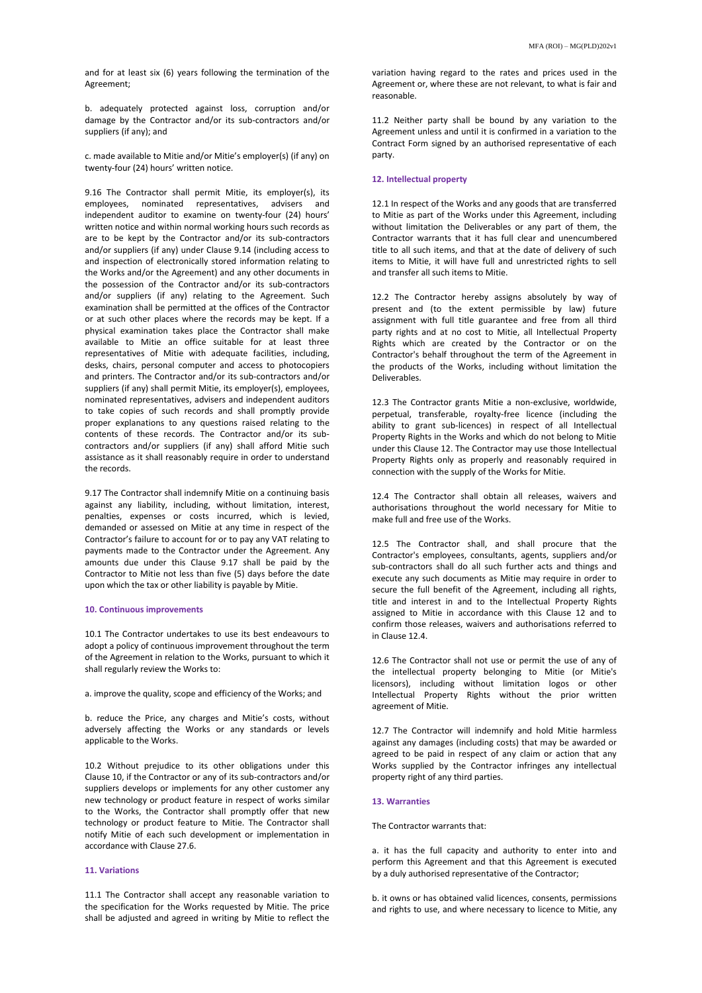b. adequately protected against loss, corruption and/or damage by the Contractor and/or its sub-contractors and/or suppliers (if any); and

c. made available to Mitie and/or Mitie's employer(s) (if any) on twenty-four (24) hours' written notice.

9.16 The Contractor shall permit Mitie, its employer(s), its employees, nominated representatives, advisers and independent auditor to examine on twenty-four (24) hours' written notice and within normal working hours such records as are to be kept by the Contractor and/or its sub-contractors and/or suppliers (if any) under Clause 9.14 (including access to and inspection of electronically stored information relating to the Works and/or the Agreement) and any other documents in the possession of the Contractor and/or its sub-contractors and/or suppliers (if any) relating to the Agreement. Such examination shall be permitted at the offices of the Contractor or at such other places where the records may be kept. If a physical examination takes place the Contractor shall make available to Mitie an office suitable for at least three representatives of Mitie with adequate facilities, including, desks, chairs, personal computer and access to photocopiers and printers. The Contractor and/or its sub-contractors and/or suppliers (if any) shall permit Mitie, its employer(s), employees, nominated representatives, advisers and independent auditors to take copies of such records and shall promptly provide proper explanations to any questions raised relating to the contents of these records. The Contractor and/or its subcontractors and/or suppliers (if any) shall afford Mitie such assistance as it shall reasonably require in order to understand the records.

9.17 The Contractor shall indemnify Mitie on a continuing basis against any liability, including, without limitation, interest, penalties, expenses or costs incurred, which is levied, demanded or assessed on Mitie at any time in respect of the Contractor's failure to account for or to pay any VAT relating to payments made to the Contractor under the Agreement. Any amounts due under this Clause 9.17 shall be paid by the Contractor to Mitie not less than five (5) days before the date upon which the tax or other liability is payable by Mitie.

# **10. Continuous improvements**

10.1 The Contractor undertakes to use its best endeavours to adopt a policy of continuous improvement throughout the term of the Agreement in relation to the Works, pursuant to which it shall regularly review the Works to:

a. improve the quality, scope and efficiency of the Works; and

b. reduce the Price, any charges and Mitie's costs, without adversely affecting the Works or any standards or levels applicable to the Works.

10.2 Without prejudice to its other obligations under this Clause 10, if the Contractor or any of its sub-contractors and/or suppliers develops or implements for any other customer any new technology or product feature in respect of works similar to the Works, the Contractor shall promptly offer that new technology or product feature to Mitie. The Contractor shall notify Mitie of each such development or implementation in accordance with Clause 27.6.

# **11. Variations**

11.1 The Contractor shall accept any reasonable variation to the specification for the Works requested by Mitie. The price shall be adjusted and agreed in writing by Mitie to reflect the

variation having regard to the rates and prices used in the Agreement or, where these are not relevant, to what is fair and reasonable.

11.2 Neither party shall be bound by any variation to the Agreement unless and until it is confirmed in a variation to the Contract Form signed by an authorised representative of each party.

# **12. Intellectual property**

12.1 In respect of the Works and any goods that are transferred to Mitie as part of the Works under this Agreement, including without limitation the Deliverables or any part of them, the Contractor warrants that it has full clear and unencumbered title to all such items, and that at the date of delivery of such items to Mitie, it will have full and unrestricted rights to sell and transfer all such items to Mitie.

12.2 The Contractor hereby assigns absolutely by way of present and (to the extent permissible by law) future assignment with full title guarantee and free from all third party rights and at no cost to Mitie, all Intellectual Property Rights which are created by the Contractor or on the Contractor's behalf throughout the term of the Agreement in the products of the Works, including without limitation the Deliverables.

12.3 The Contractor grants Mitie a non-exclusive, worldwide, perpetual, transferable, royalty-free licence (including the ability to grant sub-licences) in respect of all Intellectual Property Rights in the Works and which do not belong to Mitie under this Clause 12. The Contractor may use those Intellectual Property Rights only as properly and reasonably required in connection with the supply of the Works for Mitie.

12.4 The Contractor shall obtain all releases, waivers and authorisations throughout the world necessary for Mitie to make full and free use of the Works.

12.5 The Contractor shall, and shall procure that the Contractor's employees, consultants, agents, suppliers and/or sub-contractors shall do all such further acts and things and execute any such documents as Mitie may require in order to secure the full benefit of the Agreement, including all rights, title and interest in and to the Intellectual Property Rights assigned to Mitie in accordance with this Clause 12 and to confirm those releases, waivers and authorisations referred to in Clause 12.4.

12.6 The Contractor shall not use or permit the use of any of the intellectual property belonging to Mitie (or Mitie's licensors), including without limitation logos or other Intellectual Property Rights without the prior written agreement of Mitie.

12.7 The Contractor will indemnify and hold Mitie harmless against any damages (including costs) that may be awarded or agreed to be paid in respect of any claim or action that any Works supplied by the Contractor infringes any intellectual property right of any third parties.

## **13. Warranties**

The Contractor warrants that:

a. it has the full capacity and authority to enter into and perform this Agreement and that this Agreement is executed by a duly authorised representative of the Contractor;

b. it owns or has obtained valid licences, consents, permissions and rights to use, and where necessary to licence to Mitie, any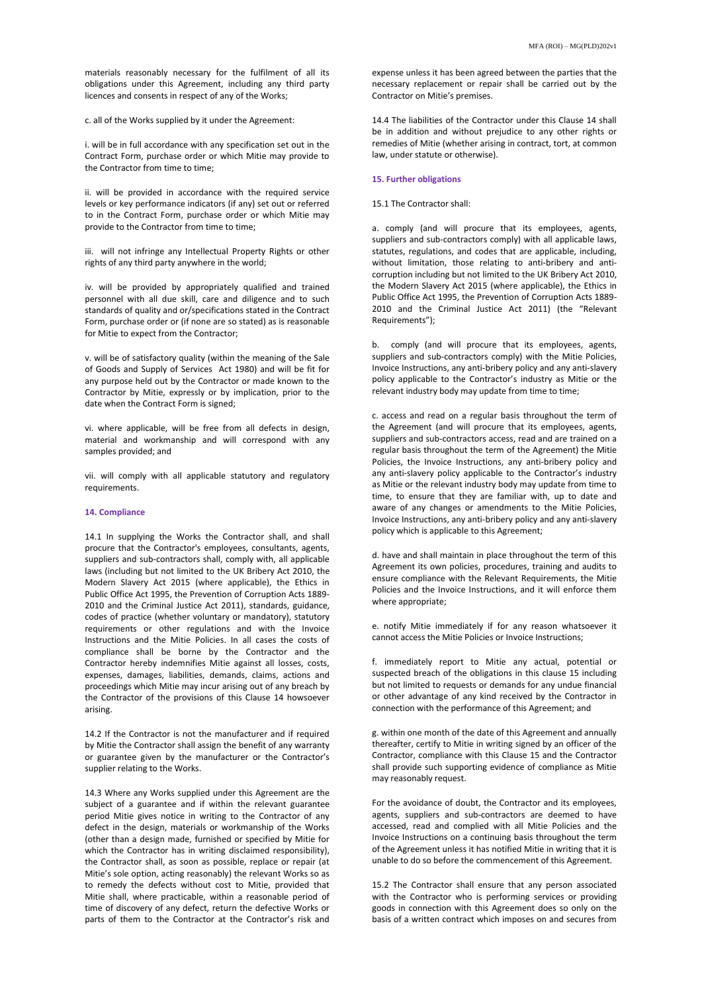materials reasonably necessary for the fulfilment of all its obligations under this Agreement, including any third party licences and consents in respect of any of the Works;

c. all of the Works supplied by it under the Agreement:

i. will be in full accordance with any specification set out in the Contract Form, purchase order or which Mitie may provide to the Contractor from time to time;

ii. will be provided in accordance with the required service levels or key performance indicators (if any) set out or referred to in the Contract Form, purchase order or which Mitie may provide to the Contractor from time to time;

iii. will not infringe any Intellectual Property Rights or other rights of any third party anywhere in the world;

iv. will be provided by appropriately qualified and trained personnel with all due skill, care and diligence and to such standards of quality and or/specifications stated in the Contract Form, purchase order or (if none are so stated) as is reasonable for Mitie to expect from the Contractor;

v. will be of satisfactory quality (within the meaning of the Sale of Goods and Supply of Services Act 1980) and will be fit for any purpose held out by the Contractor or made known to the Contractor by Mitie, expressly or by implication, prior to the date when the Contract Form is signed;

vi. where applicable, will be free from all defects in design, material and workmanship and will correspond with any samples provided; and

vii. will comply with all applicable statutory and regulatory requirements.

# **14. Compliance**

14.1 In supplying the Works the Contractor shall, and shall procure that the Contractor's employees, consultants, agents, suppliers and sub-contractors shall, comply with, all applicable laws (including but not limited to the UK Bribery Act 2010, the Modern Slavery Act 2015 (where applicable), the Ethics in Public Office Act 1995, the Prevention of Corruption Acts 1889- 2010 and the Criminal Justice Act 2011), standards, guidance, codes of practice (whether voluntary or mandatory), statutory requirements or other regulations and with the Invoice Instructions and the Mitie Policies. In all cases the costs of compliance shall be borne by the Contractor and the Contractor hereby indemnifies Mitie against all losses, costs, expenses, damages, liabilities, demands, claims, actions and proceedings which Mitie may incur arising out of any breach by the Contractor of the provisions of this Clause 14 howsoever arising.

14.2 If the Contractor is not the manufacturer and if required by Mitie the Contractor shall assign the benefit of any warranty or guarantee given by the manufacturer or the Contractor's supplier relating to the Works.

14.3 Where any Works supplied under this Agreement are the subject of a guarantee and if within the relevant guarantee period Mitie gives notice in writing to the Contractor of any defect in the design, materials or workmanship of the Works (other than a design made, furnished or specified by Mitie for which the Contractor has in writing disclaimed responsibility), the Contractor shall, as soon as possible, replace or repair (at Mitie's sole option, acting reasonably) the relevant Works so as to remedy the defects without cost to Mitie, provided that Mitie shall, where practicable, within a reasonable period of time of discovery of any defect, return the defective Works or parts of them to the Contractor at the Contractor's risk and

expense unless it has been agreed between the parties that the necessary replacement or repair shall be carried out by the Contractor on Mitie's premises.

14.4 The liabilities of the Contractor under this Clause 14 shall be in addition and without prejudice to any other rights or remedies of Mitie (whether arising in contract, tort, at common law, under statute or otherwise).

# **15. Further obligations**

#### 15.1 The Contractor shall:

a. comply (and will procure that its employees, agents, suppliers and sub-contractors comply) with all applicable laws, statutes, regulations, and codes that are applicable, including, without limitation, those relating to anti-bribery and anticorruption including but not limited to the UK Bribery Act 2010, the Modern Slavery Act 2015 (where applicable), the Ethics in Public Office Act 1995, the Prevention of Corruption Acts 1889- 2010 and the Criminal Justice Act 2011) (the "Relevant Requirements");

b. comply (and will procure that its employees, agents, suppliers and sub-contractors comply) with the Mitie Policies, Invoice Instructions, any anti-bribery policy and any anti-slavery policy applicable to the Contractor's industry as Mitie or the relevant industry body may update from time to time;

c. access and read on a regular basis throughout the term of the Agreement (and will procure that its employees, agents, suppliers and sub-contractors access, read and are trained on a regular basis throughout the term of the Agreement) the Mitie Policies, the Invoice Instructions, any anti-bribery policy and any anti-slavery policy applicable to the Contractor's industry as Mitie or the relevant industry body may update from time to time, to ensure that they are familiar with, up to date and aware of any changes or amendments to the Mitie Policies, Invoice Instructions, any anti-bribery policy and any anti-slavery policy which is applicable to this Agreement;

d. have and shall maintain in place throughout the term of this Agreement its own policies, procedures, training and audits to ensure compliance with the Relevant Requirements, the Mitie Policies and the Invoice Instructions, and it will enforce them where appropriate;

e. notify Mitie immediately if for any reason whatsoever it cannot access the Mitie Policies or Invoice Instructions;

f. immediately report to Mitie any actual, potential or suspected breach of the obligations in this clause 15 including but not limited to requests or demands for any undue financial or other advantage of any kind received by the Contractor in connection with the performance of this Agreement; and

g. within one month of the date of this Agreement and annually thereafter, certify to Mitie in writing signed by an officer of the Contractor, compliance with this Clause 15 and the Contractor shall provide such supporting evidence of compliance as Mitie may reasonably request.

For the avoidance of doubt, the Contractor and its employees, agents, suppliers and sub-contractors are deemed to have accessed, read and complied with all Mitie Policies and the Invoice Instructions on a continuing basis throughout the term of the Agreement unless it has notified Mitie in writing that it is unable to do so before the commencement of this Agreement.

15.2 The Contractor shall ensure that any person associated with the Contractor who is performing services or providing goods in connection with this Agreement does so only on the basis of a written contract which imposes on and secures from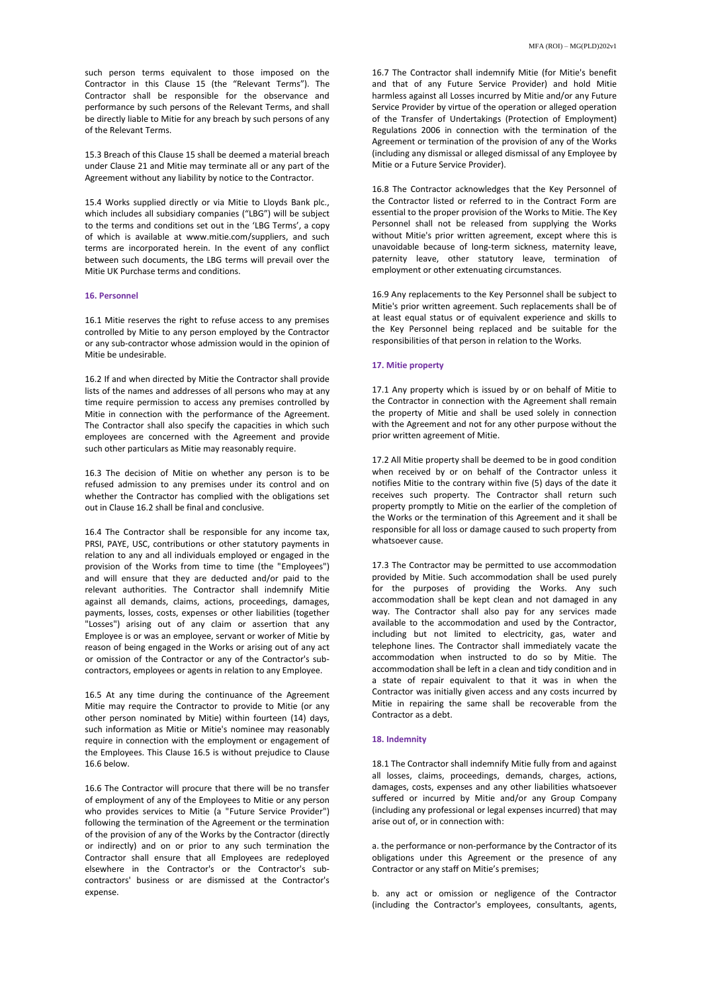such person terms equivalent to those imposed on the Contractor in this Clause 15 (the "Relevant Terms"). The Contractor shall be responsible for the observance and performance by such persons of the Relevant Terms, and shall be directly liable to Mitie for any breach by such persons of any of the Relevant Terms.

15.3 Breach of this Clause 15 shall be deemed a material breach under Clause 21 and Mitie may terminate all or any part of the Agreement without any liability by notice to the Contractor.

15.4 Works supplied directly or via Mitie to Lloyds Bank plc., which includes all subsidiary companies ("LBG") will be subject to the terms and conditions set out in the 'LBG Terms', a copy of which is available at www.mitie.com/suppliers, and such terms are incorporated herein. In the event of any conflict between such documents, the LBG terms will prevail over the Mitie UK Purchase terms and conditions.

# **16. Personnel**

16.1 Mitie reserves the right to refuse access to any premises controlled by Mitie to any person employed by the Contractor or any sub-contractor whose admission would in the opinion of Mitie be undesirable.

16.2 If and when directed by Mitie the Contractor shall provide lists of the names and addresses of all persons who may at any time require permission to access any premises controlled by Mitie in connection with the performance of the Agreement. The Contractor shall also specify the capacities in which such employees are concerned with the Agreement and provide such other particulars as Mitie may reasonably require.

16.3 The decision of Mitie on whether any person is to be refused admission to any premises under its control and on whether the Contractor has complied with the obligations set out in Clause 16.2 shall be final and conclusive.

16.4 The Contractor shall be responsible for any income tax, PRSI, PAYE, USC, contributions or other statutory payments in relation to any and all individuals employed or engaged in the provision of the Works from time to time (the "Employees") and will ensure that they are deducted and/or paid to the relevant authorities. The Contractor shall indemnify Mitie against all demands, claims, actions, proceedings, damages, payments, losses, costs, expenses or other liabilities (together "Losses") arising out of any claim or assertion that any Employee is or was an employee, servant or worker of Mitie by reason of being engaged in the Works or arising out of any act or omission of the Contractor or any of the Contractor's subcontractors, employees or agents in relation to any Employee.

16.5 At any time during the continuance of the Agreement Mitie may require the Contractor to provide to Mitie (or any other person nominated by Mitie) within fourteen (14) days, such information as Mitie or Mitie's nominee may reasonably require in connection with the employment or engagement of the Employees. This Clause 16.5 is without prejudice to Clause 16.6 below.

16.6 The Contractor will procure that there will be no transfer of employment of any of the Employees to Mitie or any person who provides services to Mitie (a "Future Service Provider") following the termination of the Agreement or the termination of the provision of any of the Works by the Contractor (directly or indirectly) and on or prior to any such termination the Contractor shall ensure that all Employees are redeployed elsewhere in the Contractor's or the Contractor's subcontractors' business or are dismissed at the Contractor's expense.

16.7 The Contractor shall indemnify Mitie (for Mitie's benefit and that of any Future Service Provider) and hold Mitie harmless against all Losses incurred by Mitie and/or any Future Service Provider by virtue of the operation or alleged operation of the Transfer of Undertakings (Protection of Employment) Regulations 2006 in connection with the termination of the Agreement or termination of the provision of any of the Works (including any dismissal or alleged dismissal of any Employee by Mitie or a Future Service Provider).

16.8 The Contractor acknowledges that the Key Personnel of the Contractor listed or referred to in the Contract Form are essential to the proper provision of the Works to Mitie. The Key Personnel shall not be released from supplying the Works without Mitie's prior written agreement, except where this is unavoidable because of long-term sickness, maternity leave, paternity leave, other statutory leave, termination of employment or other extenuating circumstances.

16.9 Any replacements to the Key Personnel shall be subject to Mitie's prior written agreement. Such replacements shall be of at least equal status or of equivalent experience and skills to the Key Personnel being replaced and be suitable for the responsibilities of that person in relation to the Works.

# **17. Mitie property**

17.1 Any property which is issued by or on behalf of Mitie to the Contractor in connection with the Agreement shall remain the property of Mitie and shall be used solely in connection with the Agreement and not for any other purpose without the prior written agreement of Mitie.

17.2 All Mitie property shall be deemed to be in good condition when received by or on behalf of the Contractor unless it notifies Mitie to the contrary within five (5) days of the date it receives such property. The Contractor shall return such property promptly to Mitie on the earlier of the completion of the Works or the termination of this Agreement and it shall be responsible for all loss or damage caused to such property from whatsoever cause.

17.3 The Contractor may be permitted to use accommodation provided by Mitie. Such accommodation shall be used purely for the purposes of providing the Works. Any such accommodation shall be kept clean and not damaged in any way. The Contractor shall also pay for any services made available to the accommodation and used by the Contractor, including but not limited to electricity, gas, water and telephone lines. The Contractor shall immediately vacate the accommodation when instructed to do so by Mitie. The accommodation shall be left in a clean and tidy condition and in a state of repair equivalent to that it was in when the Contractor was initially given access and any costs incurred by Mitie in repairing the same shall be recoverable from the Contractor as a debt.

### **18. Indemnity**

18.1 The Contractor shall indemnify Mitie fully from and against all losses, claims, proceedings, demands, charges, actions, damages, costs, expenses and any other liabilities whatsoever suffered or incurred by Mitie and/or any Group Company (including any professional or legal expenses incurred) that may arise out of, or in connection with:

a. the performance or non-performance by the Contractor of its obligations under this Agreement or the presence of any Contractor or any staff on Mitie's premises;

b. any act or omission or negligence of the Contractor (including the Contractor's employees, consultants, agents,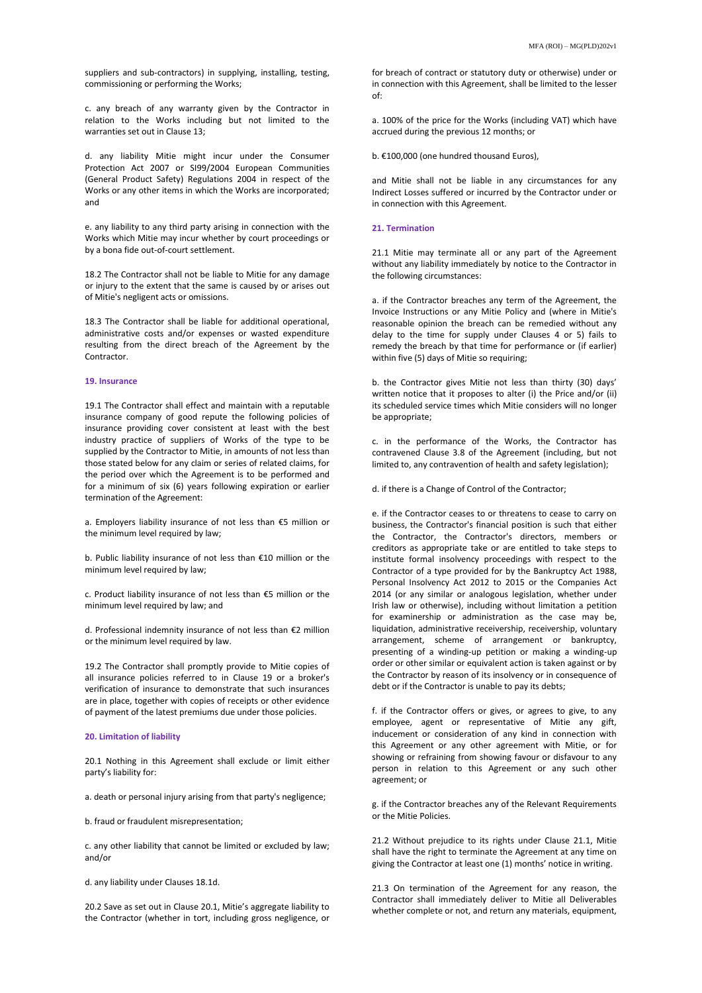suppliers and sub-contractors) in supplying, installing, testing, commissioning or performing the Works;

c. any breach of any warranty given by the Contractor in relation to the Works including but not limited to the warranties set out in Clause 13;

d. any liability Mitie might incur under the Consumer Protection Act 2007 or SI99/2004 European Communities (General Product Safety) Regulations 2004 in respect of the Works or any other items in which the Works are incorporated; and

e. any liability to any third party arising in connection with the Works which Mitie may incur whether by court proceedings or by a bona fide out-of-court settlement.

18.2 The Contractor shall not be liable to Mitie for any damage or injury to the extent that the same is caused by or arises out of Mitie's negligent acts or omissions.

18.3 The Contractor shall be liable for additional operational, administrative costs and/or expenses or wasted expenditure resulting from the direct breach of the Agreement by the Contractor.

# **19. Insurance**

19.1 The Contractor shall effect and maintain with a reputable insurance company of good repute the following policies of insurance providing cover consistent at least with the best industry practice of suppliers of Works of the type to be supplied by the Contractor to Mitie, in amounts of not less than those stated below for any claim or series of related claims, for the period over which the Agreement is to be performed and for a minimum of six (6) years following expiration or earlier termination of the Agreement:

a. Employers liability insurance of not less than €5 million or the minimum level required by law;

b. Public liability insurance of not less than €10 million or the minimum level required by law;

c. Product liability insurance of not less than €5 million or the minimum level required by law; and

d. Professional indemnity insurance of not less than €2 million or the minimum level required by law.

19.2 The Contractor shall promptly provide to Mitie copies of all insurance policies referred to in Clause 19 or a broker's verification of insurance to demonstrate that such insurances are in place, together with copies of receipts or other evidence of payment of the latest premiums due under those policies.

#### **20. Limitation of liability**

20.1 Nothing in this Agreement shall exclude or limit either party's liability for:

a. death or personal injury arising from that party's negligence;

b. fraud or fraudulent misrepresentation;

c. any other liability that cannot be limited or excluded by law; and/or

d. any liability under Clauses 18.1d.

20.2 Save as set out in Clause 20.1, Mitie's aggregate liability to the Contractor (whether in tort, including gross negligence, or

for breach of contract or statutory duty or otherwise) under or in connection with this Agreement, shall be limited to the lesser of:

a. 100% of the price for the Works (including VAT) which have accrued during the previous 12 months; or

b. €100,000 (one hundred thousand Euros),

and Mitie shall not be liable in any circumstances for any Indirect Losses suffered or incurred by the Contractor under or in connection with this Agreement.

## **21. Termination**

21.1 Mitie may terminate all or any part of the Agreement without any liability immediately by notice to the Contractor in the following circumstances:

a. if the Contractor breaches any term of the Agreement, the Invoice Instructions or any Mitie Policy and (where in Mitie's reasonable opinion the breach can be remedied without any delay to the time for supply under Clauses 4 or 5) fails to remedy the breach by that time for performance or (if earlier) within five (5) days of Mitie so requiring;

b. the Contractor gives Mitie not less than thirty (30) days' written notice that it proposes to alter (i) the Price and/or (ii) its scheduled service times which Mitie considers will no longer be appropriate;

c. in the performance of the Works, the Contractor has contravened Clause 3.8 of the Agreement (including, but not limited to, any contravention of health and safety legislation);

d. if there is a Change of Control of the Contractor;

e. if the Contractor ceases to or threatens to cease to carry on business, the Contractor's financial position is such that either the Contractor, the Contractor's directors, members or creditors as appropriate take or are entitled to take steps to institute formal insolvency proceedings with respect to the Contractor of a type provided for by the Bankruptcy Act 1988, Personal Insolvency Act 2012 to 2015 or the Companies Act 2014 (or any similar or analogous legislation, whether under Irish law or otherwise), including without limitation a petition for examinership or administration as the case may be, liquidation, administrative receivership, receivership, voluntary arrangement, scheme of arrangement or bankruptcy, presenting of a winding-up petition or making a winding-up order or other similar or equivalent action is taken against or by the Contractor by reason of its insolvency or in consequence of debt or if the Contractor is unable to pay its debts;

f. if the Contractor offers or gives, or agrees to give, to any employee, agent or representative of Mitie any gift, inducement or consideration of any kind in connection with this Agreement or any other agreement with Mitie, or for showing or refraining from showing favour or disfavour to any person in relation to this Agreement or any such other agreement; or

g. if the Contractor breaches any of the Relevant Requirements or the Mitie Policies.

21.2 Without prejudice to its rights under Clause 21.1, Mitie shall have the right to terminate the Agreement at any time on giving the Contractor at least one (1) months' notice in writing.

21.3 On termination of the Agreement for any reason, the Contractor shall immediately deliver to Mitie all Deliverables whether complete or not, and return any materials, equipment,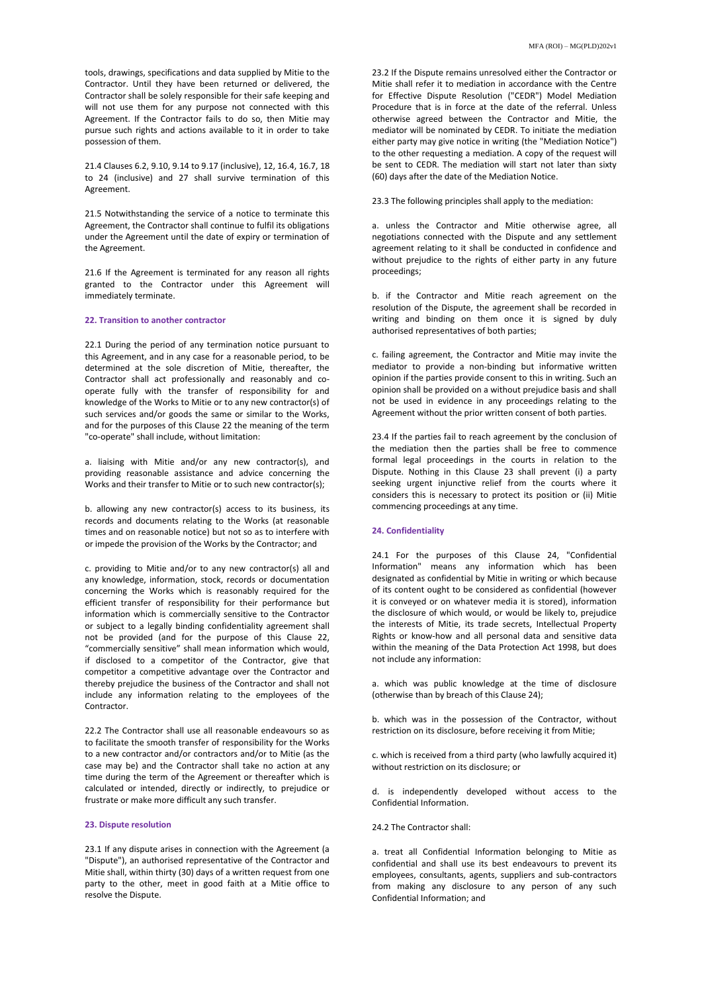tools, drawings, specifications and data supplied by Mitie to the Contractor. Until they have been returned or delivered, the Contractor shall be solely responsible for their safe keeping and will not use them for any purpose not connected with this Agreement. If the Contractor fails to do so, then Mitie may pursue such rights and actions available to it in order to take possession of them.

21.4 Clauses 6.2, 9.10, 9.14 to 9.17 (inclusive), 12, 16.4, 16.7, 18 to 24 (inclusive) and 27 shall survive termination of this Agreement.

21.5 Notwithstanding the service of a notice to terminate this Agreement, the Contractor shall continue to fulfil its obligations under the Agreement until the date of expiry or termination of the Agreement.

21.6 If the Agreement is terminated for any reason all rights granted to the Contractor under this Agreement will immediately terminate.

# **22. Transition to another contractor**

22.1 During the period of any termination notice pursuant to this Agreement, and in any case for a reasonable period, to be determined at the sole discretion of Mitie, thereafter, the Contractor shall act professionally and reasonably and cooperate fully with the transfer of responsibility for and knowledge of the Works to Mitie or to any new contractor(s) of such services and/or goods the same or similar to the Works, and for the purposes of this Clause 22 the meaning of the term "co-operate" shall include, without limitation:

a. liaising with Mitie and/or any new contractor(s), and providing reasonable assistance and advice concerning the Works and their transfer to Mitie or to such new contractor(s);

b. allowing any new contractor(s) access to its business, its records and documents relating to the Works (at reasonable times and on reasonable notice) but not so as to interfere with or impede the provision of the Works by the Contractor; and

c. providing to Mitie and/or to any new contractor(s) all and any knowledge, information, stock, records or documentation concerning the Works which is reasonably required for the efficient transfer of responsibility for their performance but information which is commercially sensitive to the Contractor or subject to a legally binding confidentiality agreement shall not be provided (and for the purpose of this Clause 22, "commercially sensitive" shall mean information which would, if disclosed to a competitor of the Contractor, give that competitor a competitive advantage over the Contractor and thereby prejudice the business of the Contractor and shall not include any information relating to the employees of the Contractor.

22.2 The Contractor shall use all reasonable endeavours so as to facilitate the smooth transfer of responsibility for the Works to a new contractor and/or contractors and/or to Mitie (as the case may be) and the Contractor shall take no action at any time during the term of the Agreement or thereafter which is calculated or intended, directly or indirectly, to prejudice or frustrate or make more difficult any such transfer.

# **23. Dispute resolution**

23.1 If any dispute arises in connection with the Agreement (a "Dispute"), an authorised representative of the Contractor and Mitie shall, within thirty (30) days of a written request from one party to the other, meet in good faith at a Mitie office to resolve the Dispute.

23.2 If the Dispute remains unresolved either the Contractor or Mitie shall refer it to mediation in accordance with the Centre for Effective Dispute Resolution ("CEDR") Model Mediation Procedure that is in force at the date of the referral. Unless otherwise agreed between the Contractor and Mitie, the mediator will be nominated by CEDR. To initiate the mediation either party may give notice in writing (the "Mediation Notice") to the other requesting a mediation. A copy of the request will be sent to CEDR. The mediation will start not later than sixty (60) days after the date of the Mediation Notice.

23.3 The following principles shall apply to the mediation:

a. unless the Contractor and Mitie otherwise agree, all negotiations connected with the Dispute and any settlement agreement relating to it shall be conducted in confidence and without prejudice to the rights of either party in any future proceedings;

b. if the Contractor and Mitie reach agreement on the resolution of the Dispute, the agreement shall be recorded in writing and binding on them once it is signed by duly authorised representatives of both parties;

c. failing agreement, the Contractor and Mitie may invite the mediator to provide a non-binding but informative written opinion if the parties provide consent to this in writing. Such an opinion shall be provided on a without prejudice basis and shall not be used in evidence in any proceedings relating to the Agreement without the prior written consent of both parties.

23.4 If the parties fail to reach agreement by the conclusion of the mediation then the parties shall be free to commence formal legal proceedings in the courts in relation to the Dispute. Nothing in this Clause 23 shall prevent (i) a party seeking urgent injunctive relief from the courts where it considers this is necessary to protect its position or (ii) Mitie commencing proceedings at any time.

#### **24. Confidentiality**

24.1 For the purposes of this Clause 24, "Confidential Information" means any information which has been designated as confidential by Mitie in writing or which because of its content ought to be considered as confidential (however it is conveyed or on whatever media it is stored), information the disclosure of which would, or would be likely to, prejudice the interests of Mitie, its trade secrets, Intellectual Property Rights or know-how and all personal data and sensitive data within the meaning of the Data Protection Act 1998, but does not include any information:

a. which was public knowledge at the time of disclosure (otherwise than by breach of this Clause 24);

b. which was in the possession of the Contractor, without restriction on its disclosure, before receiving it from Mitie;

c. which is received from a third party (who lawfully acquired it) without restriction on its disclosure; or

d. is independently developed without access to the Confidential Information.

# 24.2 The Contractor shall:

a. treat all Confidential Information belonging to Mitie as confidential and shall use its best endeavours to prevent its employees, consultants, agents, suppliers and sub-contractors from making any disclosure to any person of any such Confidential Information; and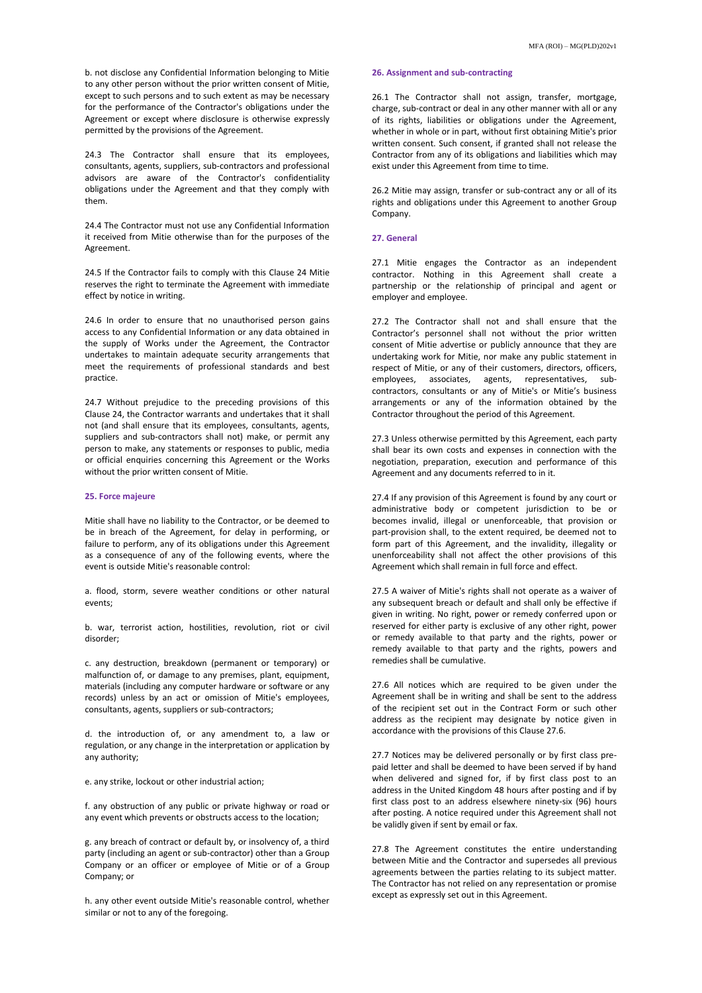b. not disclose any Confidential Information belonging to Mitie to any other person without the prior written consent of Mitie, except to such persons and to such extent as may be necessary for the performance of the Contractor's obligations under the Agreement or except where disclosure is otherwise expressly permitted by the provisions of the Agreement.

24.3 The Contractor shall ensure that its employees, consultants, agents, suppliers, sub-contractors and professional advisors are aware of the Contractor's confidentiality obligations under the Agreement and that they comply with them.

24.4 The Contractor must not use any Confidential Information it received from Mitie otherwise than for the purposes of the Agreement.

24.5 If the Contractor fails to comply with this Clause 24 Mitie reserves the right to terminate the Agreement with immediate effect by notice in writing.

24.6 In order to ensure that no unauthorised person gains access to any Confidential Information or any data obtained in the supply of Works under the Agreement, the Contractor undertakes to maintain adequate security arrangements that meet the requirements of professional standards and best practice.

24.7 Without prejudice to the preceding provisions of this Clause 24, the Contractor warrants and undertakes that it shall not (and shall ensure that its employees, consultants, agents, suppliers and sub-contractors shall not) make, or permit any person to make, any statements or responses to public, media or official enquiries concerning this Agreement or the Works without the prior written consent of Mitie.

# **25. Force majeure**

Mitie shall have no liability to the Contractor, or be deemed to be in breach of the Agreement, for delay in performing, or failure to perform, any of its obligations under this Agreement as a consequence of any of the following events, where the event is outside Mitie's reasonable control:

a. flood, storm, severe weather conditions or other natural events;

b. war, terrorist action, hostilities, revolution, riot or civil disorder;

c. any destruction, breakdown (permanent or temporary) or malfunction of, or damage to any premises, plant, equipment, materials (including any computer hardware or software or any records) unless by an act or omission of Mitie's employees, consultants, agents, suppliers or sub-contractors;

d. the introduction of, or any amendment to, a law or regulation, or any change in the interpretation or application by any authority;

e. any strike, lockout or other industrial action;

f. any obstruction of any public or private highway or road or any event which prevents or obstructs access to the location;

g. any breach of contract or default by, or insolvency of, a third party (including an agent or sub-contractor) other than a Group Company or an officer or employee of Mitie or of a Group Company; or

h. any other event outside Mitie's reasonable control, whether similar or not to any of the foregoing.

# **26. Assignment and sub-contracting**

26.1 The Contractor shall not assign, transfer, mortgage, charge, sub-contract or deal in any other manner with all or any of its rights, liabilities or obligations under the Agreement, whether in whole or in part, without first obtaining Mitie's prior written consent. Such consent, if granted shall not release the Contractor from any of its obligations and liabilities which may exist under this Agreement from time to time.

26.2 Mitie may assign, transfer or sub-contract any or all of its rights and obligations under this Agreement to another Group Company.

# **27. General**

27.1 Mitie engages the Contractor as an independent contractor. Nothing in this Agreement shall create a partnership or the relationship of principal and agent or employer and employee.

27.2 The Contractor shall not and shall ensure that the Contractor's personnel shall not without the prior written consent of Mitie advertise or publicly announce that they are undertaking work for Mitie, nor make any public statement in respect of Mitie, or any of their customers, directors, officers, employees, associates, agents, representatives, subcontractors, consultants or any of Mitie's or Mitie's business arrangements or any of the information obtained by the Contractor throughout the period of this Agreement.

27.3 Unless otherwise permitted by this Agreement, each party shall bear its own costs and expenses in connection with the negotiation, preparation, execution and performance of this Agreement and any documents referred to in it.

27.4 If any provision of this Agreement is found by any court or administrative body or competent jurisdiction to be or becomes invalid, illegal or unenforceable, that provision or part-provision shall, to the extent required, be deemed not to form part of this Agreement, and the invalidity, illegality or unenforceability shall not affect the other provisions of this Agreement which shall remain in full force and effect.

27.5 A waiver of Mitie's rights shall not operate as a waiver of any subsequent breach or default and shall only be effective if given in writing. No right, power or remedy conferred upon or reserved for either party is exclusive of any other right, power or remedy available to that party and the rights, power or remedy available to that party and the rights, powers and remedies shall be cumulative.

27.6 All notices which are required to be given under the Agreement shall be in writing and shall be sent to the address of the recipient set out in the Contract Form or such other address as the recipient may designate by notice given in accordance with the provisions of this Clause 27.6.

27.7 Notices may be delivered personally or by first class prepaid letter and shall be deemed to have been served if by hand when delivered and signed for, if by first class post to an address in the United Kingdom 48 hours after posting and if by first class post to an address elsewhere ninety-six (96) hours after posting. A notice required under this Agreement shall not be validly given if sent by email or fax.

27.8 The Agreement constitutes the entire understanding between Mitie and the Contractor and supersedes all previous agreements between the parties relating to its subject matter. The Contractor has not relied on any representation or promise except as expressly set out in this Agreement.